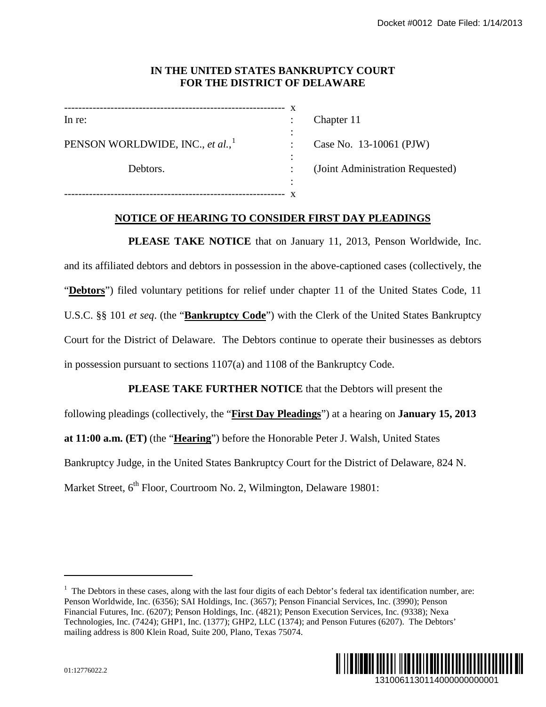## **IN THE UNITED STATES BANKRUPTCY COURT FOR THE DISTRICT OF DELAWARE**

| In re:                                       |   | Chapter 11                       |
|----------------------------------------------|---|----------------------------------|
| PENSON WORLDWIDE, INC., et al., <sup>1</sup> | ٠ | Case No. 13-10061 (PJW)          |
| Debtors.                                     |   | (Joint Administration Requested) |
|                                              | ٠ |                                  |
|                                              |   |                                  |

## **NOTICE OF HEARING TO CONSIDER FIRST DAY PLEADINGS**

**PLEASE TAKE NOTICE** that on January 11, 2013, Penson Worldwide, Inc. and its affiliated debtors and debtors in possession in the above-captioned cases (collectively, the "**Debtors**") filed voluntary petitions for relief under chapter 11 of the United States Code, 11 U.S.C. §§ 101 *et seq*. (the "**Bankruptcy Code**") with the Clerk of the United States Bankruptcy Court for the District of Delaware. The Debtors continue to operate their businesses as debtors in possession pursuant to sections 1107(a) and 1108 of the Bankruptcy Code. Docket #0012 Date Filed: 1/14/2013<br>
10061 (PJW)<br>
10061 (PJW)<br>
10061 (PJW)<br>
10061 (PJW)<br>
10061 Requested)<br>
2011<br>
2021<br>
2021<br>
2021<br>
2021<br>
2021<br>
2021<br>
2021<br>
2021<br>
2021<br>
2021<br>
2031<br>
2021<br>
2021<br>
2021<br>
2021<br>
2021<br>
2021<br>
2021<br>
2

**PLEASE TAKE FURTHER NOTICE** that the Debtors will present the following pleadings (collectively, the "**First Day Pleadings**") at a hearing on **January 15, 2013 at 11:00 a.m. (ET)** (the "**Hearing**") before the Honorable Peter J. Walsh, United States Bankruptcy Judge, in the United States Bankruptcy Court for the District of Delaware, 824 N. Market Street, 6<sup>th</sup> Floor, Courtroom No. 2, Wilmington, Delaware 19801:

<span id="page-0-0"></span> $<sup>1</sup>$  The Debtors in these cases, along with the last four digits of each Debtor's federal tax identification number, are:</sup> Penson Worldwide, Inc. (6356); SAI Holdings, Inc. (3657); Penson Financial Services, Inc. (3990); Penson Financial Futures, Inc. (6207); Penson Holdings, Inc. (4821); Penson Execution Services, Inc. (9338); Nexa Technologies, Inc. (7424); GHP1, Inc. (1377); GHP2, LLC (1374); and Penson Futures (6207). The Debtors' mailing address is 800 Klein Road, Suite 200, Plano, Texas 75074.



 $\overline{a}$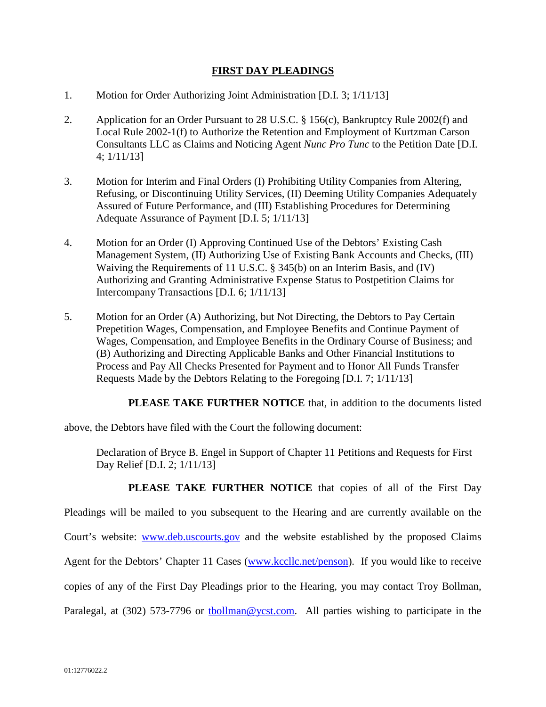## **FIRST DAY PLEADINGS**

- 1. Motion for Order Authorizing Joint Administration [D.I. 3; 1/11/13]
- 2. Application for an Order Pursuant to 28 U.S.C. § 156(c), Bankruptcy Rule 2002(f) and Local Rule 2002-1(f) to Authorize the Retention and Employment of Kurtzman Carson Consultants LLC as Claims and Noticing Agent *Nunc Pro Tunc* to the Petition Date [D.I. 4; 1/11/13]
- 3. Motion for Interim and Final Orders (I) Prohibiting Utility Companies from Altering, Refusing, or Discontinuing Utility Services, (II) Deeming Utility Companies Adequately Assured of Future Performance, and (III) Establishing Procedures for Determining Adequate Assurance of Payment [D.I. 5; 1/11/13]
- 4. Motion for an Order (I) Approving Continued Use of the Debtors' Existing Cash Management System, (II) Authorizing Use of Existing Bank Accounts and Checks, (III) Waiving the Requirements of 11 U.S.C. § 345(b) on an Interim Basis, and (IV) Authorizing and Granting Administrative Expense Status to Postpetition Claims for Intercompany Transactions [D.I. 6; 1/11/13]
- 5. Motion for an Order (A) Authorizing, but Not Directing, the Debtors to Pay Certain Prepetition Wages, Compensation, and Employee Benefits and Continue Payment of Wages, Compensation, and Employee Benefits in the Ordinary Course of Business; and (B) Authorizing and Directing Applicable Banks and Other Financial Institutions to Process and Pay All Checks Presented for Payment and to Honor All Funds Transfer Requests Made by the Debtors Relating to the Foregoing [D.I. 7; 1/11/13]

**PLEASE TAKE FURTHER NOTICE** that, in addition to the documents listed

above, the Debtors have filed with the Court the following document:

Declaration of Bryce B. Engel in Support of Chapter 11 Petitions and Requests for First Day Relief [D.I. 2; 1/11/13]

**PLEASE TAKE FURTHER NOTICE** that copies of all of the First Day

Pleadings will be mailed to you subsequent to the Hearing and are currently available on the

Court's website: [www.deb.uscourts.gov](http://www.deb.uscourts.gov/) and the website established by the proposed Claims

Agent for the Debtors' Chapter 11 Cases [\(www.kccllc.net/penson\)](http://www.kccllc.net/penson). If you would like to receive

copies of any of the First Day Pleadings prior to the Hearing, you may contact Troy Bollman,

Paralegal, at (302) 573-7796 or [tbollman@ycst.com.](mailto:tbollman@ycst.com) All parties wishing to participate in the